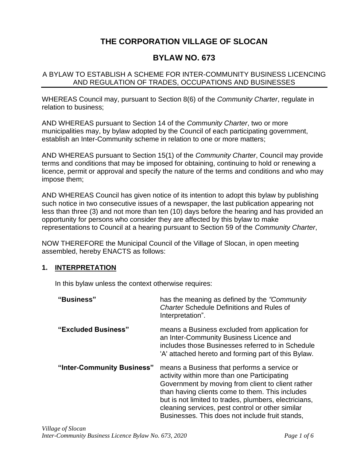# **THE CORPORATION VILLAGE OF SLOCAN**

## **BYLAW NO. 673**

#### A BYLAW TO ESTABLISH A SCHEME FOR INTER-COMMUNITY BUSINESS LICENCING AND REGULATION OF TRADES, OCCUPATIONS AND BUSINESSES

WHEREAS Council may, pursuant to Section 8(6) of the *Community Charter*, regulate in relation to business;

AND WHEREAS pursuant to Section 14 of the *Community Charter*, two or more municipalities may, by bylaw adopted by the Council of each participating government, establish an Inter-Community scheme in relation to one or more matters;

AND WHEREAS pursuant to Section 15(1) of the *Community Charter*, Council may provide terms and conditions that may be imposed for obtaining, continuing to hold or renewing a licence, permit or approval and specify the nature of the terms and conditions and who may impose them;

AND WHEREAS Council has given notice of its intention to adopt this bylaw by publishing such notice in two consecutive issues of a newspaper, the last publication appearing not less than three (3) and not more than ten (10) days before the hearing and has provided an opportunity for persons who consider they are affected by this bylaw to make representations to Council at a hearing pursuant to Section 59 of the *Community Charter*,

NOW THEREFORE the Municipal Council of the Village of Slocan, in open meeting assembled, hereby ENACTS as follows:

#### **1. INTERPRETATION**

In this bylaw unless the context otherwise requires:

| "Business"                 | has the meaning as defined by the "Community"<br><b>Charter Schedule Definitions and Rules of</b><br>Interpretation".                                                                                                                                                                                                                                              |
|----------------------------|--------------------------------------------------------------------------------------------------------------------------------------------------------------------------------------------------------------------------------------------------------------------------------------------------------------------------------------------------------------------|
| "Excluded Business"        | means a Business excluded from application for<br>an Inter-Community Business Licence and<br>includes those Businesses referred to in Schedule<br>'A' attached hereto and forming part of this Bylaw.                                                                                                                                                              |
| "Inter-Community Business" | means a Business that performs a service or<br>activity within more than one Participating<br>Government by moving from client to client rather<br>than having clients come to them. This includes<br>but is not limited to trades, plumbers, electricians,<br>cleaning services, pest control or other similar<br>Businesses. This does not include fruit stands, |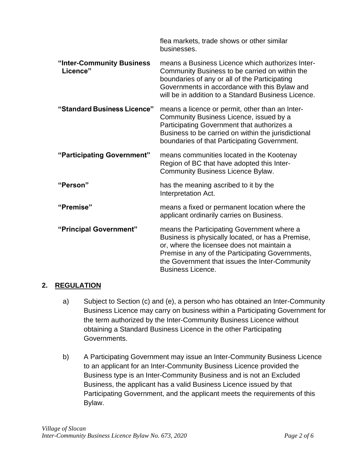|                                       | flea markets, trade shows or other similar<br>businesses.                                                                                                                                                                                                                       |
|---------------------------------------|---------------------------------------------------------------------------------------------------------------------------------------------------------------------------------------------------------------------------------------------------------------------------------|
| "Inter-Community Business<br>Licence" | means a Business Licence which authorizes Inter-<br>Community Business to be carried on within the<br>boundaries of any or all of the Participating<br>Governments in accordance with this Bylaw and<br>will be in addition to a Standard Business Licence.                     |
| "Standard Business Licence"           | means a licence or permit, other than an Inter-<br>Community Business Licence, issued by a<br>Participating Government that authorizes a<br>Business to be carried on within the jurisdictional<br>boundaries of that Participating Government.                                 |
| "Participating Government"            | means communities located in the Kootenay<br>Region of BC that have adopted this Inter-<br><b>Community Business Licence Bylaw.</b>                                                                                                                                             |
| "Person"                              | has the meaning ascribed to it by the<br>Interpretation Act.                                                                                                                                                                                                                    |
| "Premise"                             | means a fixed or permanent location where the<br>applicant ordinarily carries on Business.                                                                                                                                                                                      |
| "Principal Government"                | means the Participating Government where a<br>Business is physically located, or has a Premise,<br>or, where the licensee does not maintain a<br>Premise in any of the Participating Governments,<br>the Government that issues the Inter-Community<br><b>Business Licence.</b> |

#### **2. REGULATION**

- a) Subject to Section (c) and (e), a person who has obtained an Inter-Community Business Licence may carry on business within a Participating Government for the term authorized by the Inter-Community Business Licence without obtaining a Standard Business Licence in the other Participating Governments.
- b) A Participating Government may issue an Inter-Community Business Licence to an applicant for an Inter-Community Business Licence provided the Business type is an Inter-Community Business and is not an Excluded Business, the applicant has a valid Business Licence issued by that Participating Government, and the applicant meets the requirements of this Bylaw.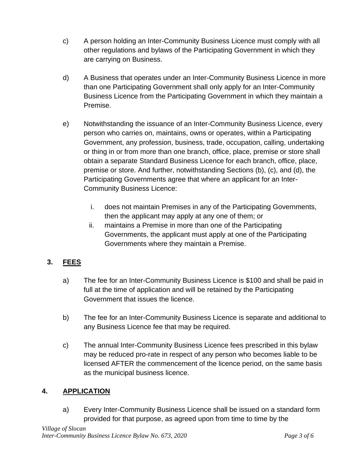- c) A person holding an Inter-Community Business Licence must comply with all other regulations and bylaws of the Participating Government in which they are carrying on Business.
- d) A Business that operates under an Inter-Community Business Licence in more than one Participating Government shall only apply for an Inter-Community Business Licence from the Participating Government in which they maintain a Premise.
- e) Notwithstanding the issuance of an Inter-Community Business Licence, every person who carries on, maintains, owns or operates, within a Participating Government, any profession, business, trade, occupation, calling, undertaking or thing in or from more than one branch, office, place, premise or store shall obtain a separate Standard Business Licence for each branch, office, place, premise or store. And further, notwithstanding Sections (b), (c), and (d), the Participating Governments agree that where an applicant for an Inter-Community Business Licence:
	- i. does not maintain Premises in any of the Participating Governments, then the applicant may apply at any one of them; or
	- ii. maintains a Premise in more than one of the Participating Governments, the applicant must apply at one of the Participating Governments where they maintain a Premise.

# **3. FEES**

- a) The fee for an Inter-Community Business Licence is \$100 and shall be paid in full at the time of application and will be retained by the Participating Government that issues the licence.
- b) The fee for an Inter-Community Business Licence is separate and additional to any Business Licence fee that may be required.
- c) The annual Inter-Community Business Licence fees prescribed in this bylaw may be reduced pro-rate in respect of any person who becomes liable to be licensed AFTER the commencement of the licence period, on the same basis as the municipal business licence.

#### **4. APPLICATION**

a) Every Inter-Community Business Licence shall be issued on a standard form provided for that purpose, as agreed upon from time to time by the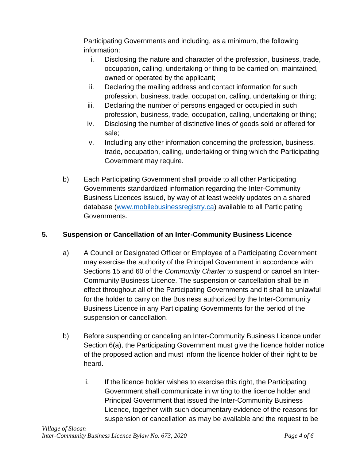Participating Governments and including, as a minimum, the following information:

- i. Disclosing the nature and character of the profession, business, trade, occupation, calling, undertaking or thing to be carried on, maintained, owned or operated by the applicant;
- ii. Declaring the mailing address and contact information for such profession, business, trade, occupation, calling, undertaking or thing;
- iii. Declaring the number of persons engaged or occupied in such profession, business, trade, occupation, calling, undertaking or thing;
- iv. Disclosing the number of distinctive lines of goods sold or offered for sale;
- v. Including any other information concerning the profession, business, trade, occupation, calling, undertaking or thing which the Participating Government may require.
- b) Each Participating Government shall provide to all other Participating Governments standardized information regarding the Inter-Community Business Licences issued, by way of at least weekly updates on a shared database [\(www.mobilebusinessregistry.ca\)](http://www.mobilebusinessregistry.ca/) available to all Participating Governments.

## **5. Suspension or Cancellation of an Inter-Community Business Licence**

- a) A Council or Designated Officer or Employee of a Participating Government may exercise the authority of the Principal Government in accordance with Sections 15 and 60 of the *Community Charter* to suspend or cancel an Inter-Community Business Licence. The suspension or cancellation shall be in effect throughout all of the Participating Governments and it shall be unlawful for the holder to carry on the Business authorized by the Inter-Community Business Licence in any Participating Governments for the period of the suspension or cancellation.
- b) Before suspending or canceling an Inter-Community Business Licence under Section 6(a), the Participating Government must give the licence holder notice of the proposed action and must inform the licence holder of their right to be heard.
	- i. If the licence holder wishes to exercise this right, the Participating Government shall communicate in writing to the licence holder and Principal Government that issued the Inter-Community Business Licence, together with such documentary evidence of the reasons for suspension or cancellation as may be available and the request to be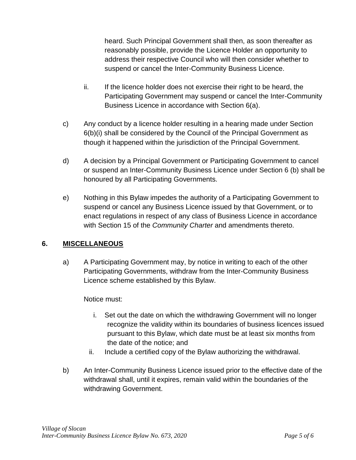heard. Such Principal Government shall then, as soon thereafter as reasonably possible, provide the Licence Holder an opportunity to address their respective Council who will then consider whether to suspend or cancel the Inter-Community Business Licence.

- ii. If the licence holder does not exercise their right to be heard, the Participating Government may suspend or cancel the Inter-Community Business Licence in accordance with Section 6(a).
- c) Any conduct by a licence holder resulting in a hearing made under Section 6(b)(i) shall be considered by the Council of the Principal Government as though it happened within the jurisdiction of the Principal Government.
- d) A decision by a Principal Government or Participating Government to cancel or suspend an Inter-Community Business Licence under Section 6 (b) shall be honoured by all Participating Governments.
- e) Nothing in this Bylaw impedes the authority of a Participating Government to suspend or cancel any Business Licence issued by that Government, or to enact regulations in respect of any class of Business Licence in accordance with Section 15 of the *Community Charter* and amendments thereto.

#### **6. MISCELLANEOUS**

a) A Participating Government may, by notice in writing to each of the other Participating Governments, withdraw from the Inter-Community Business Licence scheme established by this Bylaw.

Notice must:

- i. Set out the date on which the withdrawing Government will no longer recognize the validity within its boundaries of business licences issued pursuant to this Bylaw, which date must be at least six months from the date of the notice; and
- ii. Include a certified copy of the Bylaw authorizing the withdrawal.
- b) An Inter-Community Business Licence issued prior to the effective date of the withdrawal shall, until it expires, remain valid within the boundaries of the withdrawing Government.